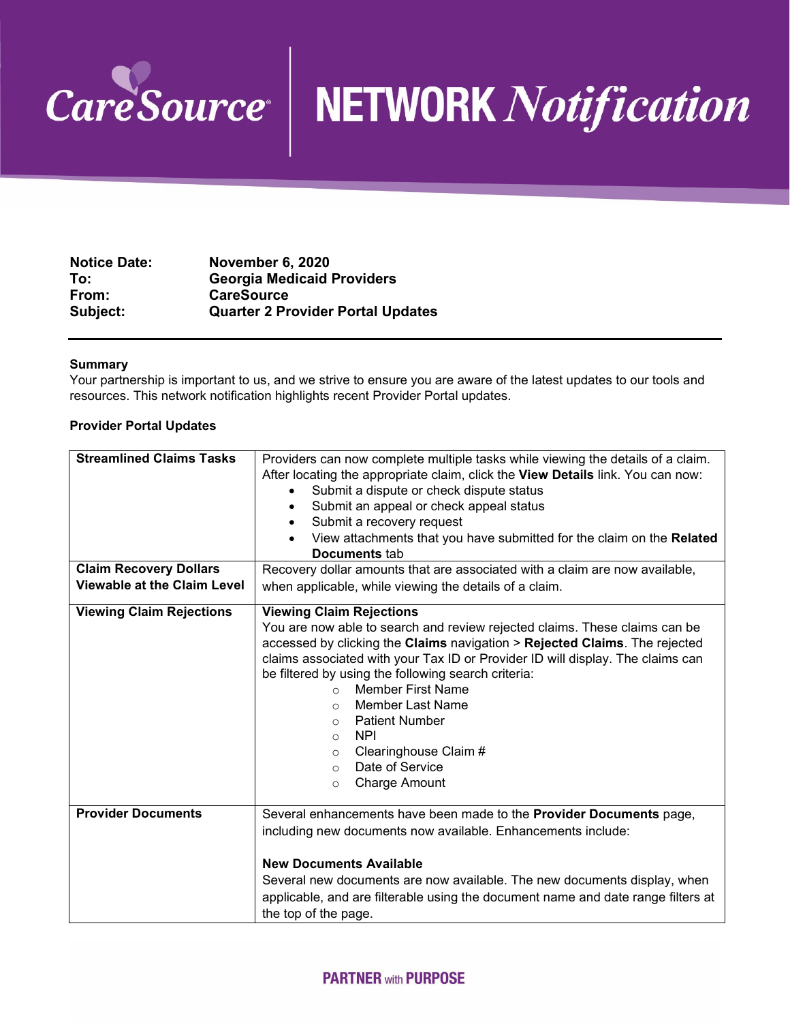

## CareSource<sup>N</sup> NETWORK Notification

| <b>Notice Date:</b> | <b>November 6, 2020</b>                  |
|---------------------|------------------------------------------|
| To:                 | <b>Georgia Medicaid Providers</b>        |
| From:               | <b>CareSource</b>                        |
| Subject:            | <b>Quarter 2 Provider Portal Updates</b> |

## **Summary**

Your partnership is important to us, and we strive to ensure you are aware of the latest updates to our tools and resources. This network notification highlights recent Provider Portal updates.

## **Provider Portal Updates**

| <b>Streamlined Claims Tasks</b><br><b>Claim Recovery Dollars</b><br><b>Viewable at the Claim Level</b> | Providers can now complete multiple tasks while viewing the details of a claim.<br>After locating the appropriate claim, click the View Details link. You can now:<br>Submit a dispute or check dispute status<br>٠<br>Submit an appeal or check appeal status<br>Submit a recovery request<br>View attachments that you have submitted for the claim on the Related<br>Documents tab<br>Recovery dollar amounts that are associated with a claim are now available,<br>when applicable, while viewing the details of a claim. |
|--------------------------------------------------------------------------------------------------------|--------------------------------------------------------------------------------------------------------------------------------------------------------------------------------------------------------------------------------------------------------------------------------------------------------------------------------------------------------------------------------------------------------------------------------------------------------------------------------------------------------------------------------|
| <b>Viewing Claim Rejections</b>                                                                        | <b>Viewing Claim Rejections</b><br>You are now able to search and review rejected claims. These claims can be                                                                                                                                                                                                                                                                                                                                                                                                                  |
|                                                                                                        | accessed by clicking the Claims navigation > Rejected Claims. The rejected<br>claims associated with your Tax ID or Provider ID will display. The claims can                                                                                                                                                                                                                                                                                                                                                                   |
|                                                                                                        | be filtered by using the following search criteria:                                                                                                                                                                                                                                                                                                                                                                                                                                                                            |
|                                                                                                        | <b>Member First Name</b><br>$\Omega$<br>Member Last Name<br>$\Omega$                                                                                                                                                                                                                                                                                                                                                                                                                                                           |
|                                                                                                        | <b>Patient Number</b><br>$\Omega$                                                                                                                                                                                                                                                                                                                                                                                                                                                                                              |
|                                                                                                        | <b>NPI</b><br>$\Omega$                                                                                                                                                                                                                                                                                                                                                                                                                                                                                                         |
|                                                                                                        | Clearinghouse Claim #<br>$\circ$                                                                                                                                                                                                                                                                                                                                                                                                                                                                                               |
|                                                                                                        | Date of Service<br>$\circ$                                                                                                                                                                                                                                                                                                                                                                                                                                                                                                     |
|                                                                                                        | <b>Charge Amount</b><br>$\circ$                                                                                                                                                                                                                                                                                                                                                                                                                                                                                                |
| <b>Provider Documents</b>                                                                              | Several enhancements have been made to the <b>Provider Documents</b> page,<br>including new documents now available. Enhancements include:                                                                                                                                                                                                                                                                                                                                                                                     |
|                                                                                                        | <b>New Documents Available</b>                                                                                                                                                                                                                                                                                                                                                                                                                                                                                                 |
|                                                                                                        | Several new documents are now available. The new documents display, when                                                                                                                                                                                                                                                                                                                                                                                                                                                       |
|                                                                                                        | applicable, and are filterable using the document name and date range filters at                                                                                                                                                                                                                                                                                                                                                                                                                                               |
|                                                                                                        | the top of the page.                                                                                                                                                                                                                                                                                                                                                                                                                                                                                                           |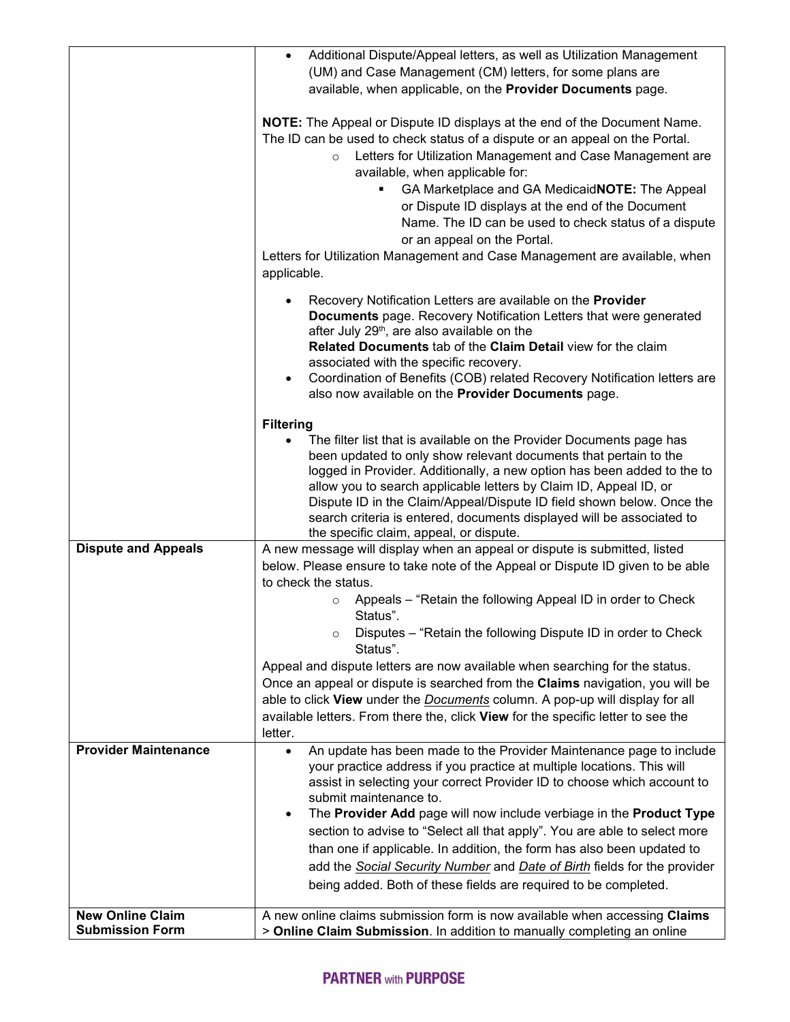|                             | Additional Dispute/Appeal letters, as well as Utilization Management<br>(UM) and Case Management (CM) letters, for some plans are                                                                  |
|-----------------------------|----------------------------------------------------------------------------------------------------------------------------------------------------------------------------------------------------|
|                             | available, when applicable, on the Provider Documents page.                                                                                                                                        |
|                             | <b>NOTE:</b> The Appeal or Dispute ID displays at the end of the Document Name.                                                                                                                    |
|                             | The ID can be used to check status of a dispute or an appeal on the Portal.                                                                                                                        |
|                             | Letters for Utilization Management and Case Management are<br>$\circ$<br>available, when applicable for:                                                                                           |
|                             | GA Marketplace and GA Medicaid NOTE: The Appeal                                                                                                                                                    |
|                             | or Dispute ID displays at the end of the Document                                                                                                                                                  |
|                             | Name. The ID can be used to check status of a dispute<br>or an appeal on the Portal.                                                                                                               |
|                             | Letters for Utilization Management and Case Management are available, when                                                                                                                         |
|                             | applicable.                                                                                                                                                                                        |
|                             | Recovery Notification Letters are available on the Provider<br><b>Documents</b> page. Recovery Notification Letters that were generated<br>after July 29 <sup>th</sup> , are also available on the |
|                             | Related Documents tab of the Claim Detail view for the claim<br>associated with the specific recovery.                                                                                             |
|                             | Coordination of Benefits (COB) related Recovery Notification letters are<br>also now available on the Provider Documents page.                                                                     |
|                             | <b>Filtering</b>                                                                                                                                                                                   |
|                             | The filter list that is available on the Provider Documents page has                                                                                                                               |
|                             | been updated to only show relevant documents that pertain to the<br>logged in Provider. Additionally, a new option has been added to the to                                                        |
|                             | allow you to search applicable letters by Claim ID, Appeal ID, or                                                                                                                                  |
|                             | Dispute ID in the Claim/Appeal/Dispute ID field shown below. Once the                                                                                                                              |
|                             | search criteria is entered, documents displayed will be associated to<br>the specific claim, appeal, or dispute.                                                                                   |
| <b>Dispute and Appeals</b>  | A new message will display when an appeal or dispute is submitted, listed                                                                                                                          |
|                             | below. Please ensure to take note of the Appeal or Dispute ID given to be able<br>to check the status.                                                                                             |
|                             | Appeals - "Retain the following Appeal ID in order to Check                                                                                                                                        |
|                             | Status".                                                                                                                                                                                           |
|                             | Disputes - "Retain the following Dispute ID in order to Check<br>Status".                                                                                                                          |
|                             | Appeal and dispute letters are now available when searching for the status.                                                                                                                        |
|                             | Once an appeal or dispute is searched from the Claims navigation, you will be<br>able to click View under the <b>Documents</b> column. A pop-up will display for all                               |
|                             | available letters. From there the, click View for the specific letter to see the<br>letter.                                                                                                        |
| <b>Provider Maintenance</b> | An update has been made to the Provider Maintenance page to include<br>$\bullet$                                                                                                                   |
|                             | your practice address if you practice at multiple locations. This will<br>assist in selecting your correct Provider ID to choose which account to                                                  |
|                             | submit maintenance to.<br>The Provider Add page will now include verbiage in the Product Type<br>$\bullet$                                                                                         |
|                             | section to advise to "Select all that apply". You are able to select more                                                                                                                          |
|                             | than one if applicable. In addition, the form has also been updated to                                                                                                                             |
|                             | add the Social Security Number and Date of Birth fields for the provider                                                                                                                           |
|                             | being added. Both of these fields are required to be completed.                                                                                                                                    |
| <b>New Online Claim</b>     | A new online claims submission form is now available when accessing Claims                                                                                                                         |
| <b>Submission Form</b>      | > Online Claim Submission. In addition to manually completing an online                                                                                                                            |

## **PARTNER with PURPOSE**